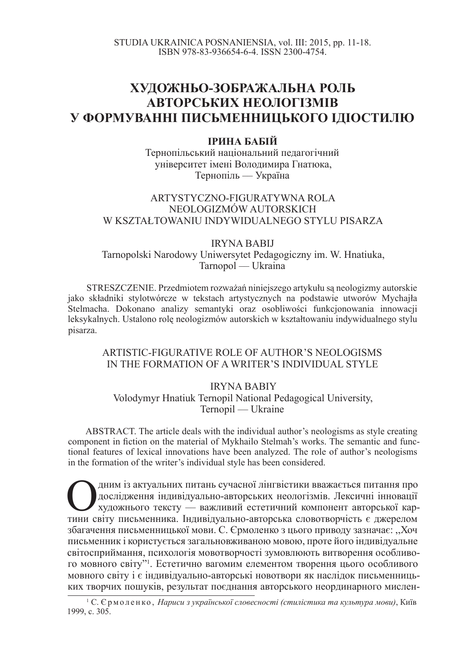# **ɏɍȾɈɀɇɖɈ-ɁɈȻɊȺɀȺɅɖɇȺ ɊɈɅɖ <u>***<u>АВТОРСЬКИХ НЕОЛОГІЗМІВ</u>*</u> У ФОРМУВАННІ ПИСЬМЕННИЦЬКОГО ІДІОСТИЛЮ

## **ЛРИНА БАБІЙ**

Тернопільський національний педагогічний університет імені Володимира Гнатюка, Тернопіль — Україна

## ARTYSTYCZNO-FIGURATYWNA ROLA NEOLOGIZMÓW AUTORSKICH W KSZTAŁTOWANIU INDYWIDUALNEGO STYLU PISARZA

#### IRYNA BABIJ

Tarnopolski Narodowy Uniwersytet Pedagogiczny im. W. Hnatiuka, Tarnopol –– Ukraina

STRESZCZENIE. Przedmiotem rozważań niniejszego artykułu są neologizmy autorskie jako skáadniki stylotwórcze w tekstach artystycznych na podstawie utworów Mychajáa Stelmacha. Dokonano analizy semantyki oraz osobliwości funkcjonowania innowacji leksykalnych. Ustalono rolę neologizmów autorskich w kształtowaniu indywidualnego stylu pisarza.

## ARTISTIC-FIGURATIVE ROLE OF AUTHOR'S NEOLOGISMS IN THE FORMATION OF A WRITER'S INDIVIDUAL STYLE

## IRYNA BABIY Volodymyr Hnatiuk Ternopil National Pedagogical University, Ternopil –– Ukraine

ABSTRACT. The article deals with the individual author's neologisms as style creating component in fiction on the material of Mykhailo Stelmah's works. The semantic and functional features of lexical innovations have been analyzed. The role of author's neologisms in the formation of the writer's individual style has been considered.

Дним із актуальних питань сучасної лінгвістики вважається питання про<br>дослідження індивідуально-авторських неологізмів. Лексичні інновації<br>тини світу письменника. Індивідуально-авторська словотворчість є джерелом дним із актуальних питань сучасної лінгвістики вважається питання про дослідження індивідуально-авторських неологізмів. Лексичні інновації художнього тексту — важливий естетичний компонент авторської карзбагачення письменницької мови. С. Єрмоленко з цього приводу зазначає: "Хоч письменник і користується загальновживаною мовою, проте його індивідуальне світосприймання, психологія мовотворчості зумовлюють витворення особливого мовного світу"<sup>1</sup>. Естетично вагомим елементом творення цього особливого мовного світу і є індивідуально-авторські новотвори як наслідок письменницьких творчих пошуків, результат поєднання авторського неординарного мислен-

<sup>&</sup>lt;sup>1</sup> С. Єрмоленко, *Нариси з української словесності (стилістика та культура мови)*, Київ 1999, c. 305.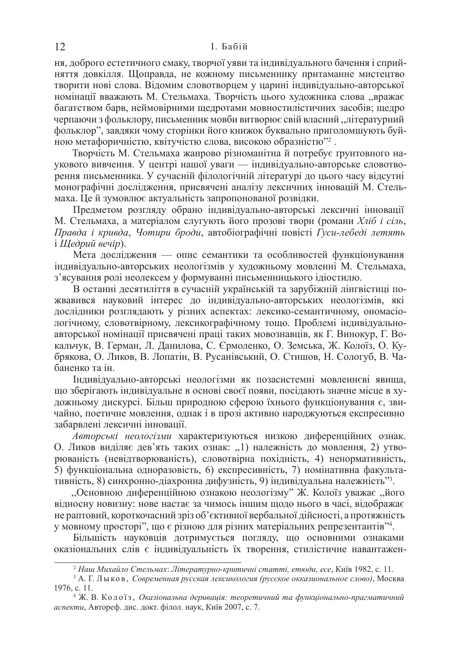ня, доброго естетичного смаку, творчої уяви та індивідуального бачення і сприйняття довкілля. Щоправда, не кожному письменнику притаманне мистецтво творити нові слова. Відомим словотворцем у царині індивідуально-авторської номінації вважають М. Стельмаха. Творчість цього художника слова "вражає багатством барв, неймовірними щедротами мовностилістичних засобів; щедро черпаючи з фольклору, письменник мовби витворює свій власний "літературний фольклор", завдяки чому сторінки його книжок буквально приголомшують буйною метафоричністю, квітучістю слова, високою образністю"<sup>2</sup>.

Творчість М. Стельмаха жанрово різноманітна й потребує ґрунтовного наукового вивчення. У центрі нашої уваги — індивідуально-авторське словотворення письменника. У сучасній філологічній літературі до цього часу відсутні монографічні дослідження, присвячені аналізу лексичних інновацій М. Стельмаха. Це й зумовлює актуальність запропонованої розвідки.

Предметом розгляду обрано індивідуально-авторські лексичні інновації М. Стельмаха, а матеріалом слугують його прозові твори (романи Хліб і сіль, *Правда і кривда*, Чотири броди, автобіографічні повісті Гуси-лебеді летять i *Щeдрий* вечiр).

Мета дослідження — опис семантики та особливостей функціонування індивідуально-авторських неологізмів у художньому мовленні М. Стельмаха, з'ясування ролі неолексем у формуванні письменницького ідіостилю.

В останні десятиліття в сучасній українській та зарубіжній лінгвістиці пожвавився науковий інтерес до індивідуально-авторських неологізмів, які дослідники розглядають у різних аспектах: лексико-семантичному, ономасіологічному, словотвірному, лексикографічному тощо. Проблемі індивідуальноавторської номінації присвячені праці таких мовознавців, як Г. Винокур, Г. Вокальчук, В. Герман, Л. Данилова, С. Єрмоленко, О. Земська, Ж. Колоїз, О. Кубрякова, О. Ликов, В. Лопатін, В. Русанівський, О. Стишов, Н. Сологуб, В. Чабаненко та ін.

Індивідуально-авторські неологізми як позасистемні мовленнєві явища, що зберігають індивідуальне в основі своєї появи, посідають значне місце в художньому дискурсі. Більш природною сферою їхнього функціонування є, звичайно, поетичне мовлення, однак і в прозі активно народжуються експресивно забарвлені лексичні інновації.

Авторські неологізми характеризуються низкою диференційних ознак. О. Ликов виділяє дев'ять таких ознак: "1) належність до мовлення, 2) утворюваність (невідтворюваність), словотвірна похідність, 4) ненормативність, 5) функціональна одноразовість, 6) експресивність, 7) номінативна факультативність, 8) синхронно-діахронна дифузність, 9) індивідуальна належність"<sup>3</sup>.

"Основною диференційною ознакою неологізму" Ж. Колоїз уважає "його відносну новизну: нове настає за чимось іншим щодо нього в часі, відображає не раптовий, короткочасний зріз об'єктивної вербальної дійсності, а протяжність у мовному просторі", що є різною для різних матеріальних репрезентантів"<sup>4</sup>.

Більшість науковців дотримується погляду, що основними ознаками оказіональних слів є індивідуальність їх творення, стилістичне навантажен-

<sup>&</sup>lt;sup>2</sup> Наш Михайло Стельмах: Літературно-критичні статті, етюди, есе, Київ 1982, с. 11.

<sup>&</sup>lt;sup>3</sup> А. Г. Лыков, *Современная русская лексикология (русское окказиональное слово)*, Москва 1976, c. 11.

<sup>&</sup>lt;sup>4</sup> Ж. В. Колоїз, Оказіональна деривація: теоретичний та функціонально-прагматичний аспекти, Автореф. дис. докт. філол. наук, Київ 2007, с. 7.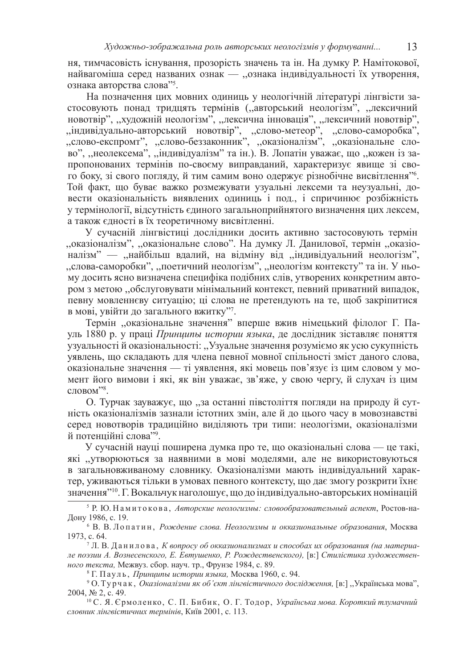ня, тимчасовість існування, прозорість значень та ін. На думку Р. Намітокової, найвагоміша серед названих ознак — "ознака індивідуальності їх утворення, ознака авторства слова"5.

На позначення цих мовних одиниць у неологічній літературі лінгвісти застосовують понад тридцять термінів ("авторський неологізм", "лексичний новотвір", "художній неологізм", "лексична інновація", "лексичний новотвір", ,,індивідуально-авторський новотвір", "слово-метеор", "слово-саморобка", ,слово-експромт", "слово-беззаконник", "оказіоналізм", "оказіональне слово", "неолексема", "індивідуалізм" та ін.). В. Лопатін уважає, що "кожен із запропонованих термінів по-своєму виправданий, характеризує явище зі свого боку, зі свого погляду, й тим самим воно одержує різнобічне висвітлення"<sup>6</sup>. Той факт, що буває важко розмежувати узуальні лексеми та неузуальні, довести оказіональність виявлених одиниць і под., і спричинює розбіжність у термінології, відсутність єдиного загальноприйнятого визначення цих лексем, а також єдності в їх теоретичному висвітленні.

У сучасній лінгвістиці дослідники досить активно застосовують термін ,,оказіоналізм", "оказіональне слово". На думку Л. Данилової, термін "оказіоналізм" — "найбільш вдалий, на відміну від "індивідуальний неологізм", ,,слова-саморобки", ,,поетичний неологізм", ,,неологізм контексту" та ін. У ньому досить ясно визначена специфіка подібних слів, утворених конкретним автором з метою "обслуговувати мінімальний контекст, певний приватний випадок, певну мовленнєву ситуацію; ці слова не претендують на те, щоб закріпитися в мові, увійти до загального вжитку"7.

Термін "оказіональне значення" вперше вжив німецький філолог Г. Пауль 1880 р. у праці Принципы истории языка, де дослідник зіставляє поняття узуальності й оказіональності: "Узуальне значення розуміємо як усю сукупність уявлень, що складають для члена певної мовної спільності зміст даного слова, оказіональне значення — ті уявлення, які мовець пов'язує із цим словом у момент його вимови і які, як він уважає, зв'яже, у свою чергу, й слухач із цим  $c$ ловом"<sup>8</sup>.

О. Турчак зауважує, що "за останні півстоліття погляди на природу й сутність оказіоналізмів зазнали істотних змін, але й до цього часу в мовознавстві серел новотворів тралиційно виліляють три типи: неологізми, оказіоналізми й потенційні слова"<sup>9</sup>.

У сучасній науці поширена думка про те, що оказіональні слова — це такі, які "утворюються за наявними в мові моделями, але не використовуються в загальновживаному словнику. Оказіоналізми мають індивідуальний характер, уживаються тільки в умовах певного контексту, що дає змогу розкрити їхнє значення"10. Г. Вокальчук наголошує, що до індивідуально-авторських номінацій

<sup>&</sup>lt;sup>5</sup> Р. Ю. Намитокова, *Авторские неологизмы: словообразовательный аспект*, Ростов-на-Дону 1986, с. 19.

<sup>&</sup>lt;sup>6</sup> В. В. Лопатин, Рождение слова, Неологизмы и окказиональные образования, Москва 1973. c. 64.

<sup>&</sup>lt;sup>7</sup> Л. В. Данилова, *К вопросу об окказионализмах и способах их образования (на материа*ле поэзии А. Вознесенского, Е. Евтушенко, Р. Рождественского), [в:] Стилістика художествен*ного текста*, Межвуз. сбор. науч. тр., Фрунзе 1984, с. 89.

<sup>&</sup>lt;sup>8</sup> Г. Пауль, *Принципы истории языка*, Москва 1960, с. 94.

<sup>&</sup>lt;sup>9</sup> О. Турчак, *Оказіоналізми як об'єкт лінгвістичного дослідження*, [в:] "Українська мова", 2004, № 2, с. 49.

<sup>&</sup>lt;sup>10</sup> С. Я. Єрмоленко, С. П. Бибик, О. Г. Тодор, Українська мова. Короткий тлумачний словник лінгвістичних термінів, Київ 2001, с. 113.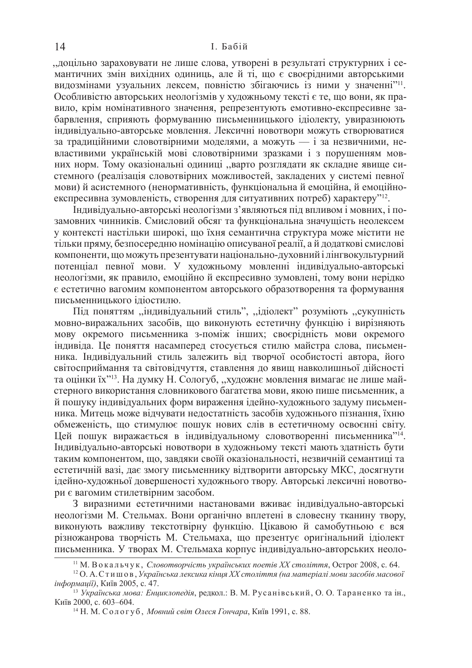, доцільно зараховувати не лише слова, утворені в результаті структурних і семантичних змін вихідних одиниць, але й ті, що є своєрідними авторськими видозмінами узуальних лексем, повністю збігаючись із ними у значенні"<sup>11</sup>. Особливістю авторських неологізмів у художньому тексті є те, що вони, як правило, крім номінативного значення, репрезентують емотивно-експресивне забарвлення, сприяють формуванню письменницького ідіолекту, увиразнюють індивідуально-авторське мовлення. Лексичні новотвори можуть створюватися за традиційними словотвірними моделями, а можуть — і за незвичними, невластивими українській мові словотвірними зразками і з порушенням мовних норм. Тому оказіональні одиниці "варто розглядати як складне явище системного (реалізація словотвірних можливостей, закладених у системі певної мови) й асистемного (ненормативність, функціональна й емоційна, й емоційноекспресивна зумовленість, створення для ситуативних потреб) характеру"<sup>12</sup>.

Ндивідуально-авторські неологізми з'являються під впливом і мовних, і позамовних чинників. Смисловий обсяг та функціональна значущість неолексем у контексті настільки широкі, що їхня семантична структура може містити не тільки пряму, безпосередню номінацію описуваної реалії, а й додаткові смислові компоненти, що можуть презентувати національно-духовний і лінгвокультурний потенціал певної мови. У художньому мовленні індивідуально-авторські неологізми, як правило, емоційно й експресивно зумовлені, тому вони нерідко  $\epsilon$  естетично вагомим компонентом авторського образотворення та формування письменницького іліостилю.

Під поняттям "індивідуальний стиль", "ідіолект" розуміють "сукупність мовно-виражальних засобів, що виконують естетичну функцію і вирізняють мову окремого письменника з-поміж інших; своєрідність мови окремого індивіда. Це поняття насамперед стосується стилю майстра слова, письменника. Індивідуальний стиль залежить від творчої особистості автора, його світосприймання та світовідчуття, ставлення до явищ навколишньої дійсності та оцінки їх"<sup>13</sup>. На думку Н. Сологуб, "художнє мовлення вимагає не лише майстерного використання словникового багатства мови, якою пише письменник, а й пошуку індивідуальних форм вираження ідейно-художнього задуму письменника. Митець може відчувати недостатність засобів художнього пізнання, їхню обмеженість, що стимулює пошук нових слів в естетичному освоєнні світу. Цей пошук виражається в індивідуальному словотворенні письменника"<sup>14</sup>. Iндивідуально-авторські новотвори в художньому тексті мають здатність бути таким компонентом, що, завдяки своїй оказіональності, незвичній семантиці та естетичній вазі, дає змогу письменнику відтворити авторську МКС, досягнути ідейно-художньої довершеності художнього твору. Авторські лексичні новотвори є вагомим стилетвірним засобом.

3 виразними естетичними настановами вживає індивідуально-авторські неологізми М. Стельмах. Вони органічно вплетені в словесну тканину твору, виконують важливу текстотвірну функцію. Цікавою й самобутньою є вся різножанрова творчість М. Стельмаха, що презентує оригінальний ідіолект письменника. У творах М. Стельмаха корпус індивідуально-авторських неоло-

<sup>&</sup>lt;sup>11</sup> М. Вокальчук, *Словотворчість українських поетів XX століття*, Острог 2008, с. 64.

<sup>&</sup>lt;sup>12</sup> О. А. Стишов, Українська лексика кінця XX століття (на матеріалі мови засобів масової інформації), Київ 2005, с. 47.

<sup>&</sup>lt;sup>13</sup> Українська мова: Енциклопедія, редкол.: В. М. Русанівський, О. О. Тараненко та ін., Київ 2000, с. 603-604.

<sup>&</sup>lt;sup>14</sup> Н. М. Сологуб, *Мовний світ Олеся Гончара*, Київ 1991, с. 88.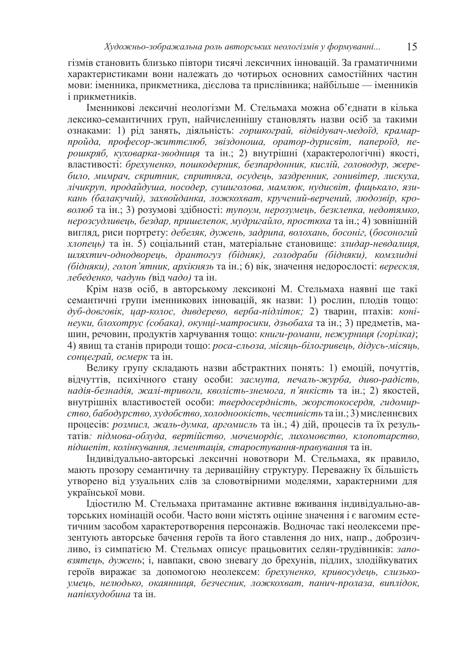гізмів становить близько півтори тисячі лексичних інновацій. За граматичними характеристиками вони належать до чотирьох основних самостійних частин мови: іменника, прикметника, дієслова та прислівника; найбільше — іменників і прикметників.

Іменникові лексичні неологізми М. Стельмаха можна об'єднати в кілька лексико-семантичних груп, найчисленнішу становлять назви осіб за такими ознаками: 1) рід занять, діяльність: горшкограй, відвідувач-медоїд, крамарпройда, професор-життєлюб, звіздоноша, оратор-дурисвіт, папероїд, перошкряб, куховарка-зводниця та ін.; 2) внутрішні (характерологічні) якості, властивості: брехуненко, пошкодерник, безпардонник, кислій, головодур, жере*било, мимрач, скритник, спритняга, осудець, заздренник, гонивітер, лискуха,*  $\overline{A}$ *iчикруп*, продайдуша, носодер, сушиголова, мамлюк, нудисвіт, фииькало, язи $kab$  (балакучий), захвойданка, ложкохват, кручений-верчений, людозвір, кро- $\epsilon$ *ѳдюб* та ін.; 3) розумові здібності: тупоум, нерозумець, безклепка, недотямко, <u>нерозсудливець, бездар, пришелепок, мудригайло, простюха та ін.; 4) зовнішній</u> вигляд, риси портрету: дебеляк, дужень, задрипа, волохань, босоніг, (босоногий *хлопець*) та ін. 5) соціальний стан, матеріальне становище: злидар-невдалиця,  $u$ ляхтич-однодворець, дрантогуз (бідняк), голодраби (бідняки), комзлидні  $(6i\delta$ *HAKU*), *голоп'ятник, архікнязь* та ін.; 6) вік, значення недорослості: *верескля*, *лебеденко, чадунь (від чадо)* та ін.

Крім назв осіб, в авторському лексиконі М. Стельмаха наявні ще такі семантичні групи іменникових інновацій, як назви: 1) рослин, плодів тощо:  $\partial y\delta$ - $\partial o$ вговік, цар-колос, дивдерево, верба-підліток; 2) тварин, птахів: коні- $\mu$ еуки, блохотрус (собака), окунці-матросики, дзьобаха та ін.; 3) предметів, маɲɢɧ, ɪɟɱɨɜɢɧ, ɩɪɨɞɭɤɬɿɜ ɯɚɪɱɭɜɚɧɧɹ ɬɨɳɨ: *ɤɧɢɝɢ-ɪɨɦɚɧɢ, ɧɟɠɭɪɧɢɰɹ (ɝɨɪɿɥɤɚ)*; 4) явищ та станів природи тощо: *роса-сльоза, місяць-білогривець, дідусь-місяць,*  $c$ *онцеграй, осмерк* та ін.

Велику групу складають назви абстрактних понять: 1) емоцій, почуттів, відчуттів, психічного стану особи: засмута, печаль-журба, диво-радість,  $\mu$ адія-безнадія, жалі-тривоги, кволість-знемога, п'янкість та ін.; 2) якостей, внутрішніх властивостей особи: твердосердність, жорстокосердя, гидомир $cm$ *во*, бабодурство, худобство, холодноокість, честивість та ін.; 3) мисленнєвих процесів: розмисл, жаль-думка, аргомисль та ін.; 4) дій, процесів та їх результатів: підмова-облуда, вертійство, мочемордіє, лихомовство, клопотарство,  $\dot{a}$ н $\dot{b}$ шепіт, колінкування, лементація, старостування-правування та ін.

Індивілуально-авторські лексичні новотвори М. Стельмаха, як правило, мають прозору семантичну та дериваційну структуру. Переважну їх більшість утворено від узуальних слів за словотвірними моделями, характерними для української мови.

Ідіостилю М. Стельмаха притаманне активне вживання індивідуально-авторських номінацій особи. Часто вони містять оцінне значення і є вагомим естетичним засобом характеротворення персонажів. Водночас такі неолексеми презентують авторське бачення героїв та його ставлення до них, напр., доброзичливо, із симпатією М. Стельмах описує працьовитих селян-трудівників: заповзятець, дужень; i, навпаки, свою зневагу до брехунів, підлих, злодійкуватих героїв виражає за допомогою неолексем: брехуненко, кривосудець, слизькоумець, нелюдько, окаянниця, безчесник, ложкохват, панич-пролаза, виплідок, *напівхудобина* та ін.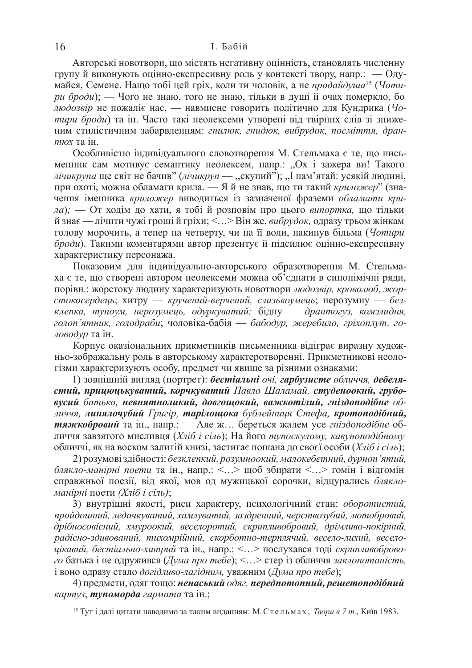Авторські новотвори, що містять негативну оцінність, становлять численну групу й виконують оцінно-експресивну роль у контексті твору, напр.: — Одумайся, Семене. Нащо тобі цей гріх, коли ти чоловік, а не продайдуша<sup>15</sup> (Чоти $pu\ \tilde{\theta}$ роди); — Чого не знаю, того не знаю, тільки в душі й очах померкло, бо людозвір не пожаліє нас, — навмисне говорить політично для Кундрика ( $q_o$ *тири броди*) та ін. Часто такі неолексеми утворені від твірних слів зі зниже-<u>ним стилістичним забарвленням: гнилюк, гнидюк, вибрудок, посміття, дран-</u> *тюх* та ін.

Особливістю індивідуального словотворення М. Стельмаха є те, що письменник сам мотивує семантику неолексем, напр.: "Ох і зажера ви! Такого *лічикрупа* ще світ не бачив" (*лічикруп* — "скупий"); "І пам'ятай: усякій людині, при охоті, можна обламати крила. — Я й не знав, що ти такий *криложер*" (значення іменника *криложер* виводиться із зазначеної фраземи обламати крида); — От ходім до хати, я тобі й розповім про цього випортка, що тільки й знає — лічити чужі гроші й гріхи; <...> Він же, *вибрудок*, одразу трьом жінкам голову морочить, а тепер на четверту, чи на її воли, накинув більма (Чотири *броди*). Такими коментарями автор презентує й підсилює оцінно-експресивну характеристику персонажа.

Показовим для індивідуально-авторського образотворення М. Стельмаха є те, що створені автором неолексеми можна об'єднати в синонімічні ряди, порівн.: жорстоку людину характеризують новотвори людозвір, кроволюб, жор- $\epsilon$ токосердець; хитру — кручений-верчений, слизькоумець; нерозумну — без*ɤɥɟɩɤɚ, ɬɭɩɨɭɦ, ɧɟɪɨɡɭɦɟɰɶ, ɨɞɭɪɤɭɜɚɬɢɣ;* ɛɿɞɧɭ –– *ɞɪɚɧɬɨɝɭɡ, ɤɨɦɡɥɢɞɧɹ,*   $\chi$ *еолоп'ятник, голодраби*; чоловіка-бабія — *бабодур, жеребило, гріхоплут, головодур* та ін.

Корпус оказіональних прикметників письменника відіграє виразну художньо-зображальну роль в авторському характеротворенні. Прикметникові неологізми характеризують особу, предмет чи явище за різними ознаками:

1) зовнішній вигляд (портрет): бестіальні очі, гарбузисте обличчя, дебелястий, прицюцькуватий, корчкуватий Павло Шаламай, студеноокий, грубо*ɜɭɫɢɣ ɛɚɬɶɤɨ, ɧɟɜɧɹɬɧɨɥɢɤɢɣ, ɞɨɜɝɨɳɨɤɢɣ, ɜɚɠɤɨɬɿɥɢɣ, ɝɧɿɡɞɨɩɨɞɿɛɧɟ ɨɛ-* $\overline{a}$ иччя, **линялочубий** Григір, тарілошока бублейниця Стефа, кротоподібний, *тяжкобровий* та ін., напр.: — Але ж... береться жалем усе гніздоподібне обличчя завзятого мисливця (*Хліб і сіль*); На його *тупоскулому, кавуноподібному* <u>обличчі, як на воском залитій книзі, застигає пошана до своєї особи (Хліб і сіль);</u>

2) розумові здібності: безклепкий, розумноокий, малокебетний, дурноп'ятий,  $6\pi$ якло-манірні поети та ін., напр.: <...> щоб збирати <...> гомін і відгомін справжньої поезії, від якої, мов од мужицької сорочки, відцурались блякло- $M$ анірні поети (Хліб і сіль);

3) внутрішні якості, риси характеру, психологічний стан: *оборотистий*, пройдошний, ледачкуватий, хамлуватий, заздренний, черствозубий, лютобровий,  $\delta$ рібносовісний, хмуроокий, веселоротий, скрипливобровий, дрімливо-покірний,  $pa\delta$ iсно-здивований, тихомрійний, скорботно-терплячий, весело-лихий, весело- $\mu$ *икавий, бестіально-хитрий* та ін., напр.: <...> послухався тоді *скрипливоброво*- $\hat{z}$ *о* батька і не одружився (Дума про тебе); <...> стер із обличчя заклопотаність, і воно одразу стало догідливо-лагідним, уважним (Дума про тебе);

4) предмети, одяг тощо: ненаський одяг, передпотопний, решетоподібний *картуз*, **тупоморда** гармата та ін.;

<sup>&</sup>lt;sup>15</sup> Тут і далі цитати наводимо за таким виданням: М. Стельмах, *Твори в 7 т.*, Київ 1983.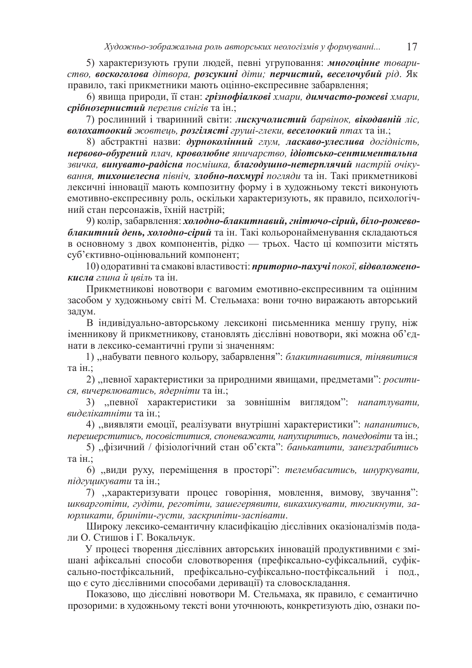5) характеризують групи людей, певні угруповання: **многоцінне** товари $c$ тво, воскоголова дітвора, розсукині діти; перчистий, веселочубий рід. Як правило, такі прикметники мають оцінно-експресивне забарвлення;

6) явища природи, її стан: грізнофіалкові хмари, димчасто-рожеві хмари, *срібнозернистий перелив снігів* **та ін.;** 

7) рослинний і тваринний світи: **лискучолистий** барвінок, вікодавній ліс, **волохатоокий** жовтець, розгілясті груші-глеки, веселоокий птах та ін.;

8) абстрактні назви: дурноколінний глум, ласкаво-улеслива догідність, **Нервово-обурений** плач, кроволюбне яничарство, *ідіотсько-сентиментальна* звичка, винувато-радісна посмішка, благодушно-нетерплячий настрій очіку вання, тихошелесна північ, злобно-похмурі погляди та ін. Такі прикметникові лексичні інновації мають композитну форму і в художньому тексті виконують емотивно-експресивну роль, оскільки характеризують, як правило, психологічний стан персонажів, їхній настрій;

9) колір, забарвлення: холодно-блакитнавий, гнітючо-сірий, біло-рожево**блакитний день, холодно-сірий** та ін. Такі кольоронайменування складаються в основному з двох компонентів, рідко — трьох. Часто ці композити містять суб'єктивно-оцінювальний компонент;

10) одоративні та смакові властивості: приторно-пахучі покої, відволожено*кисла глина й ивіль* та ін.

Прикметникові новотвори є вагомим емотивно-експресивним та оцінним засобом у художньому світі М. Стельмаха: вони точно виражають авторський задум.

В індивідуально-авторському лексиконі письменника меншу групу, ніж іменникову й прикметникову, становлять дієслівні новотвори, які можна об'єднати в лексико-семантичні групи зі значенням:

1) "набувати певного кольору, забарвлення": блакитнавитися, тінявитися та ін.:

2) "певної характеристики за природними явищами, предметами": *росити* $c$ я, вичервлюватись, ядерніти та ін.;

3) "певної характеристики за зовнішнім виглядом": *напатлувати*, *виделікатніти* та ін.;

4) "виявляти емоції, реалізувати внутрішні характеристики": *напанитись*, лерешерститись, посовіститися, споневажати, напухиритись, помедовіти та ін.;

5) "фізичний / фізіологічний стан об'єкта": *банькатити, занезграбитись* та ін.:

6) "види руху, переміщення в просторі": *телембаситись, шнуркувати*, *підгушикувати* та ін.;

7) "характеризувати процес говоріння, мовлення, вимову, звучання":  $uk$ варготіти, гудіти, реготіти, зашегерявити, викахикувати, тюгикнути, за- $\kappa$ *юрликати, бриніти-густи, заскрипіти-заспівати.* 

Широку лексико-семантичну класифікацію дієслівних оказіоналізмів подали О. Стишов і Г. Вокальчук.

У процесі творення дієслівних авторських інновацій продуктивними є змішані афіксальні способи словотворення (префіксально-суфіксальний, суфіксально-постфіксальний, префіксально-суфіксально-постфіксальний і под., що є суто дієслівними способами деривації) та словоскладання.

Показово, що дієслівні новотвори М. Стельмаха, як правило, є семантично прозорими: в художньому тексті вони уточнюють, конкретизують дію, ознаки по